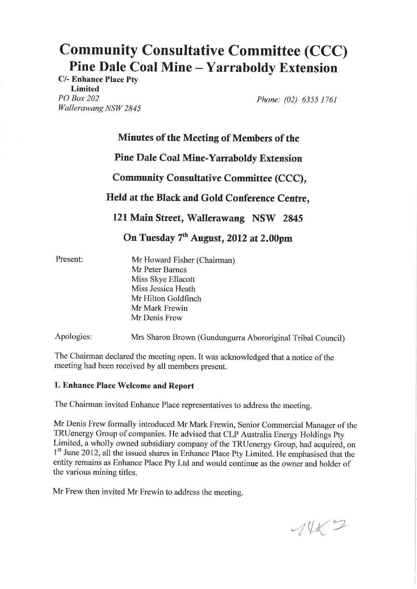# Pine Dale Coal Mine – Yarraboldy Extension Community Consultative Committee (CCC)

C/- Enhance Place Pty Limited PO Box 202 Wallerawang NSW 2845

Phone: (02) 6355 1761

# Minutes of the Meeting of Members of the

## Pine Dale Coal Mine-Yarraboldy Extension

# Community Consultative Committee (CCC),

# Held at the Black and Gold Conference Centre,

121 Main Street, Wallerawang NSW 2845

# On Tuesday  $7<sup>th</sup>$  August, 2012 at 2.00pm

Present:

Mr Howard Fisher (Chairman) Mr Peter Barnes Miss Skye Ellacott Miss Jessica Heath Mr Hilton Goldfinch Mr Mark Frewin Mr Denis Frew

Apologies: Mrs Sharon Brown (Gundungurra Abororiginal Tribal Council)

The Chairman declared the meeting open. It was acknowledged that a notice of the meeting had been received by all members present.

## 1. Enhance Place Welcome and Report

The Chairman invited Enhance Place representatives to address the meeting.

Mr Denis Frew formally introduced Mr Mark Frewin, Senior Commercial Manager of the TRUenergy Group of companies. He advised that CLP Australia Energy Holdings Pty Limited, a wholly owned subsidiary company of the TRUenergy Group, had acquired, on <sup>1st</sup> June 2012, all the issued shares in Enhance Place Pty Limited. He emphasised that the entity remains as Enhance Place Pty Ltd and would continue as the owner and holder of the various mining titles.

Mr Frew then invited Mr Frewin to address the meeting.

 $-1462$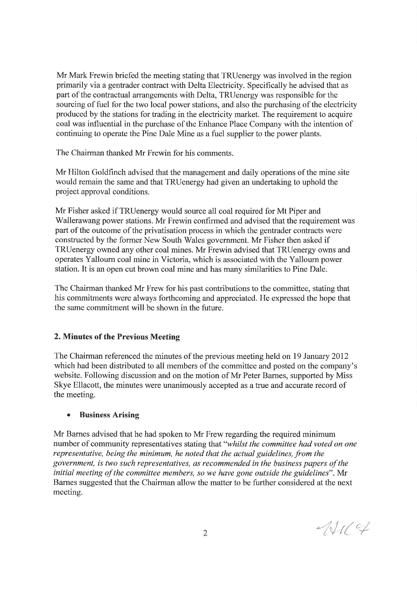Mr Mark Frewin briefed the meeting stating that TRUenergy was involved in the region primarily via a gentrader contract with Delta Electricity. Specifically he advised that as part of the contractual arrangements with Delta, TRUenergy was responsible for the sourcing of fuel for the two local power stations, and also the purchasing of the electricity produced by the stations for trading in the electricity market. The requirement to acquire coal was influential in the purchase of the Enhance Place Company with the intention of continuing to operate the Pine Dale Mine as a fuel supplier to the power plants.

The Chairman thanked Mr Frewin for his comments.

Mr Hilton Goldfinch advised that the management and daily operations of the mine site would remain the same and that TRUenergy had given an undertaking to uphold the project approval conditions.

Mr Fisher asked if TRUenergy would source all coal required for Mt Piper and Wallerawang power stations. Mr Frewin confirmed and advised that the requirement was part of the outcome of the privatisation process in which the gentrader contracts were constructed by the former New South Wales government. Mr Fisher then asked if TRUenergy owned any other coal mines. Mr Frewin advised that TRUenergy owns and operates Yallourn coal mine in Victoria, which is associated with the Yallourn power station. It is an open cut brown coal mine and has many similarities to Pine Dale.

The Chairman thanked Mr Frew for his past contributions to the committee, stating that his commitments were always forthcoming and appreciated. He expressed the hope that the same commitment will be shown in the future.

## 2. Minutes of the Previous Meeting

The Chairman referenced the minutes of the previous meeting held on 19 January 2012 which had been distributed to all members of the committee and posted on the company's website. Following discussion and on the motion of Mr Peter Barnes, supported by Miss Skye Ellacott, the minutes were unanimously accepted as a true and accurate record of the meeting.

## o Business Arising

Mr Barnes advised that he had spoken to Mr Frew regarding the required minimum number of community representatives stating that "whilst the committee had voted on one representative, being the minimum, he noted that the actual guidelines, from the government, is two such representatives, as recommended in the business papers of the initial meeting of the committee members, so we have gone outside the guidelines". Mr Barnes suggested that the Chairman allow the matter to be further considered at the next meeting.

 $4119$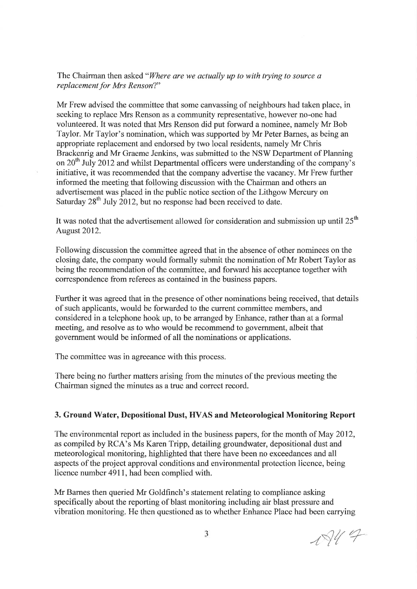The Chairman then asked "Where are we actually up to with trying to source  $a$ replacement for Mrs Renson?"

Mr Frew advised the committee that some canvassing of neighbours had taken place, in seeking to replace Mrs Renson as a community representative, however no-one had volunteered. It was noted that Mrs Renson did put forward a nominee, namely Mr Bob Taylor. Mr Taylor's nomination, which was supported by Mr Peter Barnes, as being an appropriate replacement and endorsed by two local residents, namely Mr Chris Brackenrig and Mr Graeme Jenkins, was submitted to the NSW Department of Planning on  $20<sup>th</sup>$  July 2012 and whilst Departmental officers were understanding of the company's initiative, it was recommended that the company advertise the vacancy. Mr Frew further informed the meeting that following discussion with the Chairman and others an advertisement was placed in the public notice section of the Lithgow Mercury on Saturday  $28<sup>th</sup>$  July 2012, but no response had been received to date.

It was noted that the advertisement allowed for consideration and submission up until  $25<sup>th</sup>$ August 2012.

Following discussion the committee agreed that in the absence of other nominees on the closing date, the company would formally submit the nomination of Mr Robert Taylor as being the recommendation of the committee, and forward his acceptance together with correspondence from referees as contained in the business papers.

Further it was agreed that in the presence of other nominations being received, that details of such applicants, would be forwarded to the current committee members, and considered in a telephone hook up, to be arranged by Enhance, rather than at a formal meeting, and resolve as to who would be recommend to govemment, albeit that government would be informed of all the nominations or applications.

The committee was in agreeance with this process.

There being no further matters arising from the minutes of the previous meeting the Chairman signed the minutes as a true and correct record.

#### 3. Ground Water, Depositional Dust, HVAS and Meteorological Monitoring Report

The environmental report as included in the business papers, for the month of May 2012, as compiled by RCA's Ms Karen Tripp, detailing groundwater, depositional dust and meteorological monitoring, highlighted that there have been no exceedances and all aspects of the project approval conditions and environmental protection licence, being licence number 4911, had been complied with.

Mr Barnes then queried Mr Goldfrnch's statement relating to compliance asking specifically about the reporting of blast monitoring including air blast pressure and vibration monitoring. He then questioned as to whether Enhance Place had been carrying

 $1844$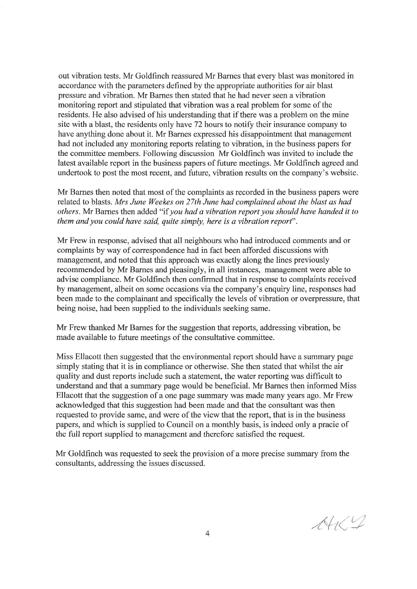out vibration tests. Mr Goldfinch reassured Mr Barnes that every blast was monitored in accordance with the parameters defined by the appropriate authorities for air blast pressure and vibration. Mr Barnes then stated that he had never seen a vibration monitoring report and stipulated that vibration was a real problem for some of the residents. He also advised of his understanding that if there was a problem on the mine site with a blast, the residents only have 72 hours to notify their insurance company to have anything done about it. Mr Barnes expressed his disappointment that management had not included any monitoring reports relating to vibration, in the business papers for the committee members. Following discussion Mr Goldfinch was invited to include the latest available report in the business papers of future meetings. Mr Goldfinch agreed and undertook to post the most recent, and future, vibration results on the company's website.

Mr Barnes then noted that most of the complaints as recorded in the business papers were related to blasts. Mrs June Weekes on 27th June had complained about the blast as had others. Mr Barnes then added "if you had a vibration report you should have handed it to them and you could have said, quite simply, here is a vibration report".

Mr Frew in response, advised that all neighbours who had introduced comments and or complaints by way of correspondence had in fact been afforded discussions with management, and noted that this approach was exactly along the lines previously recommended by Mr Barnes and pleasingly, in all instances, management were able to advise compliance. Mr Goldfinch then confirmed that in response to complaints received by management, albeit on some occasions via the company's enquiry line, responses had been made to the complainant and specifically the levels of vibration or overpressure, that being noise, had been supplied to the individuals seeking same.

Mr Frew thanked Mr Barnes for the suggestion that reports, addressing vibration, be made available to future meetings of the consultative committee.

Miss Ellacott then suggested that the environmental report should have a sunmary page simply stating that it is in compliance or otherwise. She then stated that whilst the air quality and dust reports include such a statement, the water reporting was difficult to understand and that a summary page would be beneficial. Mr Barnes then informed Miss Ellacott that the suggestion of a one page summary was made many years ago. Mr Frew acknowledged that this suggestion had been made and that the consultant was then requested to provide same, and were of the view that the report, that is in the business papers, and which is supplied to Council on a monthly basis, is indeed only a pracie of the full report supplied to management and therefore satisfied the request.

Mr Goldfinch was requested to seek the provision of a more precise summary from the consultants, addressing the issues discussed.

 $AH/2$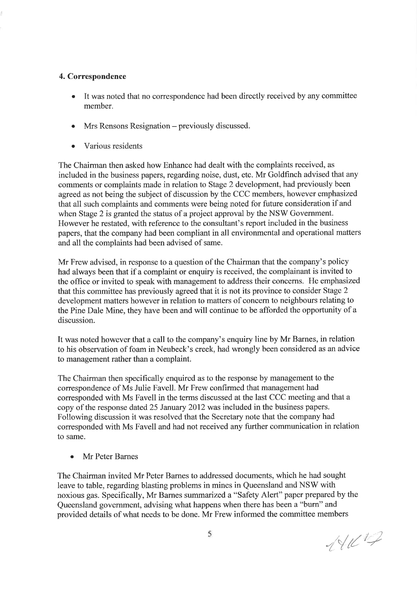## 4. Correspondence

- It was noted that no correspondence had been directly received by any committee member.
- Mrs Rensons Resignation previously discussed.
- o Various residents

The Chairman then asked how Enhance had dealt with the complaints received, as included in the business papers, regarding noise, dust, etc. Mr Goldfinch advised that any comments or complaints made in relation to Stage 2 development, had previously been agreed as not being the subject of discussion by the CCC members, however emphasized that all such complaints and comments were being noted for future consideration if and when Stage 2 is granted the status of a project approval by the NSW Government. However he restated, with reference to the consultant's report included in the business papers, that the company had been compliant in all environmental and operational matters and all the complaints had been advised of same.

Mr Frew advised, in response to a question of the Chairman that the company's policy had always been that if a complaint or enquiry is received, the complainant is invited to the office or invited to speak with management to address their concerns. He emphasized that this committee has previously agreed that it is not its province to consider Stage 2 development matters however in relation to matters of concem to neighbours relating to the Pine Dale Mine, they have been and will continue to be afforded the opportunity of a discussion.

It was noted however that a call to the company's enquiry line by Mr Barnes, in relation to his observation of foam in Neubeck's creek, had wrongly been considered as an advice to management rather than a complaint.

The Chairman then specifically enquired as to the response by management to the correspondence of Ms Julie Favell. Mr Frew confirmed that management had corresponded with Ms Favell in the terms discussed at the last CCC meeting and that a copy of the response dated 25 January 2012 was included in the business papers. Following discussion it was resolved that the Secretary note that the company had corresponded with Ms Favell and had not received any further communication in relation to same.

Mr Peter Barnes

The Chairman invited Mr Peter Bames to addressed documents, which he had sought leave to table, regarding blasting problems in mines in Queensland and NSW with noxious gas. Specifically, Mr Barnes summarized a "safety Alert" paper prepared by the Queensland government, advising what happens when there has been a "burn" and provided details of what needs to be done. Mr Frew informed the committee members

";-/l¿ /,¿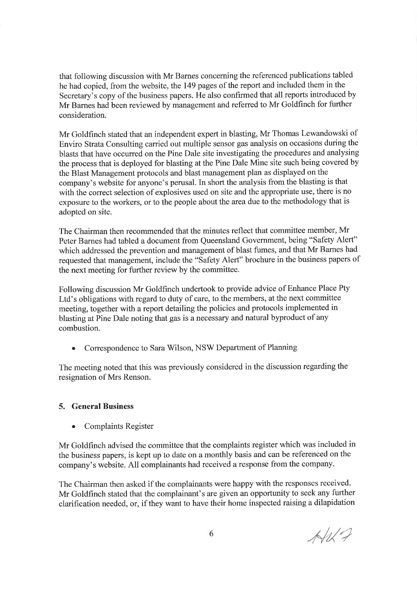that following discussion with Mr Bames concerning the referenced publications tabled he had copied, from the website, the 149 pages of the report and included them in the Secretary's copy of the business papers. He also confirmed that all reports introduced by Mr Barnes had been reviewed by management and referred to Mr Goldfrnch for further consideration.

Mr Goldfrnch stated that an independent expert in blasting, Mr Thomas Lewandowski of Enviro Strata Consulting carried out multiple sensor gas analysis on occasions during the blasts that have occurred on the Pine Dale site investigating the procedures and analysing the process that is deployed for blasting at the Pine Dale Mine site such being covered by the Blast Management protocols and blast management plan as displayed on the company's website for anyone's perusal. In short the analysis from the blasting is that with the correct selection of explosives used on site and the appropriate use, there is no exposure to the workers, or to the people about the area due to the methodology that is adopted on site.

The Chairman then recommended that the minutes reflect that committee member, Mr Peter Barnes had tabled a document from Queensland Government, being "Safety Alert" which addressed the prevention and management of blast fumes, and that Mr Barnes had requested that management, include the "Safety Alert" brochure in the business papers of the next meeting for further review by the committee.

Following discussion Mr Goldfinch undertook to provide advice of Enhance Place Pty Ltd's obligations with regard to duty of care, to the members, at the next committee meeting, together with a report detailing the policies and protocols implemented in blasting at Pine Dale noting that gas is a necessary and natural byproduct of any combustion.

Correspondence to Sara Wilson, NSW Department of Planning

The meeting noted that this was previously considered in the discussion regarding the resignation of Mrs Renson.

## 5. General Business

. Complaints Register

Mr Goldfrnch advised the committee that the complaints register which was included in the business papers, is kept up to date on a monthly basis and can be referenced on the company's website. All complainants had received a response from the company.

The Chairman then asked if the complainants were happy with the responses received. Mr Goldfinch stated that the complainant's are given an opportunity to seek any further clarification needed, or, if they want to have their home inspected raising a dilapidation

 $A#2$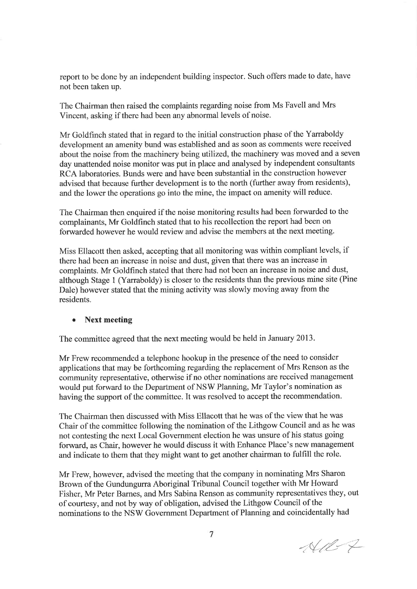report to be done by an independent building inspector. Such offers made to date, have not been taken up.

The Chairman then raised the complaints regarding noise from Ms Favell and Mrs Vincent, asking if there had been any abnormal levels of noise.

Mr Goldfinch stated that in regard to the initial construction phase of the Yarraboldy development an amenity bund was established and as soon as comments were received about the noise from the machinery being utilized, the machinery was moved and a seven day unattended noise monitor was put in place and analysed by independent consultants RCA laboratories. Bunds were and have been substantial in the construction however advised that because further development is to the north (further away from residents), and the lower the operations go into the mine, the impact on amenity will reduce.

The Chairman then enquired if the noise monitoring results had been forwarded to the complainants, Mr Goldfinch stated that to his recollection the report had been on forwarded however he would review and advise the members at the next meeting.

Miss Ellacott then asked, accepting that all monitoring was within compliant levels, if there had been an increase in noise and dust, given that there was an increase in complaints. Mr Goldfrnch stated that there had not been an increase in noise and dust, although Stage 1 (Yarraboldy) is closer to the residents than the previous mine site (Pine Dale) however stated that the mining activity was slowly moving away from the residents.

#### **Next meeting**

The committee agreed that the next meeting would be held in January 2013.

Mr Frew recommended a telephone hookup in the presence of the need to consider applications that may be forthcoming regarding the replacement of Mrs Renson as the community representative, otherwise if no other nominations are received management would put forward to the Department of NSW Planning, Mr Taylor's nomination as having the support of the committee. It was resolved to accept the recommendation.

The Chairman then discussed with Miss Ellacott that he was of the view that he was Chair of the committee following the nomination of the Lithgow Council and as he was not contesting the next Local Government election he was unsure of his status going forward, as Chair, however he would discuss it with Enhance Place's new management and indicate to them that they might want to get another chairman to fulfill the role.

Mr Frew, however, advised the meeting that the company in nominating Mrs Sharon Brown of the Gundungurra Aboriginal Tribunal Council together with Mr Howard Fisher, Mr Peter Barnes, and Mrs Sabina Renson as community representatives they, out of courtesy, and not by way of obligation, advised the Lithgow Council of the nominations to the NSW Govemment Department of Planning and coincidentally had

 $-1127$